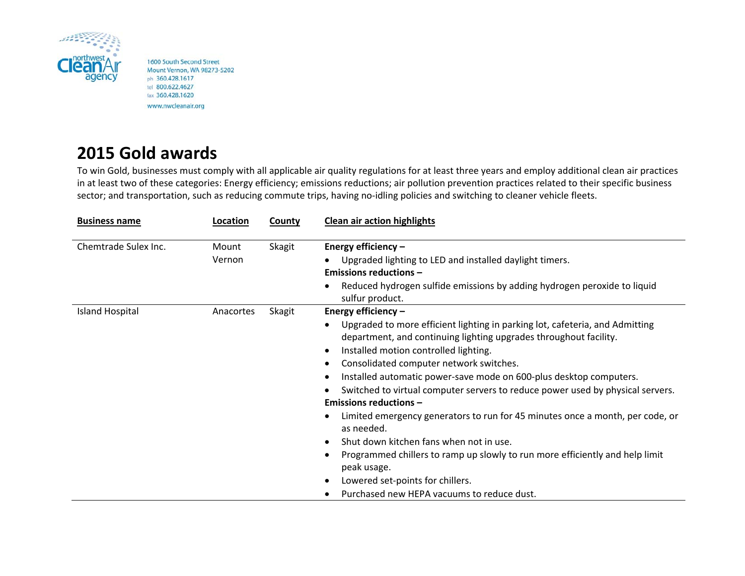

1600 South Second Street Mount Vernon, WA 98273-5202 ph 360.428.1617 tel 800.622.4627 fax 360.428.1620 www.nwcleanair.org

## **2015 Gold awards**

To win Gold, businesses must comply with all applicable air quality regulations for at least three years and employ additional clean air practices in at least two of these categories: Energy efficiency; emissions reductions; air pollution prevention practices related to their specific business sector; and transportation, such as reducing commute trips, having no-idling policies and switching to cleaner vehicle fleets.

| <b>Business name</b> | Location        | County | <b>Clean air action highlights</b>                                                                                                                                                                                                                                                                                                                                                                                                                                                                                                                                                                                                                                                                                                                                               |
|----------------------|-----------------|--------|----------------------------------------------------------------------------------------------------------------------------------------------------------------------------------------------------------------------------------------------------------------------------------------------------------------------------------------------------------------------------------------------------------------------------------------------------------------------------------------------------------------------------------------------------------------------------------------------------------------------------------------------------------------------------------------------------------------------------------------------------------------------------------|
| Chemtrade Sulex Inc. | Mount<br>Vernon | Skagit | Energy efficiency -<br>Upgraded lighting to LED and installed daylight timers.                                                                                                                                                                                                                                                                                                                                                                                                                                                                                                                                                                                                                                                                                                   |
|                      |                 |        | <b>Emissions reductions -</b><br>Reduced hydrogen sulfide emissions by adding hydrogen peroxide to liquid<br>sulfur product.                                                                                                                                                                                                                                                                                                                                                                                                                                                                                                                                                                                                                                                     |
| Island Hospital      | Anacortes       | Skagit | Energy efficiency -<br>Upgraded to more efficient lighting in parking lot, cafeteria, and Admitting<br>department, and continuing lighting upgrades throughout facility.<br>Installed motion controlled lighting.<br>Consolidated computer network switches.<br>Installed automatic power-save mode on 600-plus desktop computers.<br>Switched to virtual computer servers to reduce power used by physical servers.<br><b>Emissions reductions -</b><br>Limited emergency generators to run for 45 minutes once a month, per code, or<br>as needed.<br>Shut down kitchen fans when not in use.<br>Programmed chillers to ramp up slowly to run more efficiently and help limit<br>peak usage.<br>Lowered set-points for chillers.<br>Purchased new HEPA vacuums to reduce dust. |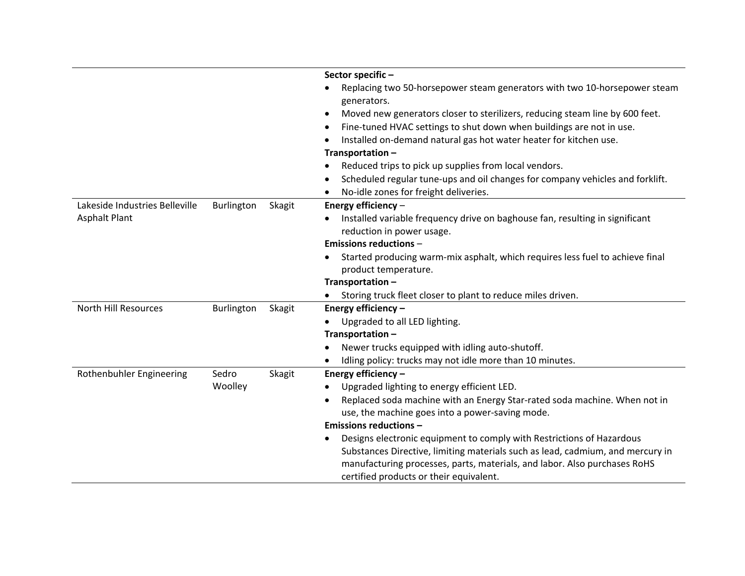|                                |            |               | Sector specific-                                                                                                                                            |
|--------------------------------|------------|---------------|-------------------------------------------------------------------------------------------------------------------------------------------------------------|
|                                |            |               | Replacing two 50-horsepower steam generators with two 10-horsepower steam                                                                                   |
|                                |            |               | generators.                                                                                                                                                 |
|                                |            |               | Moved new generators closer to sterilizers, reducing steam line by 600 feet.                                                                                |
|                                |            |               | Fine-tuned HVAC settings to shut down when buildings are not in use.                                                                                        |
|                                |            |               | Installed on-demand natural gas hot water heater for kitchen use.                                                                                           |
|                                |            |               | Transportation-                                                                                                                                             |
|                                |            |               | Reduced trips to pick up supplies from local vendors.                                                                                                       |
|                                |            |               | Scheduled regular tune-ups and oil changes for company vehicles and forklift.                                                                               |
|                                |            |               | No-idle zones for freight deliveries.                                                                                                                       |
| Lakeside Industries Belleville | Burlington | <b>Skagit</b> | Energy efficiency -                                                                                                                                         |
| <b>Asphalt Plant</b>           |            |               | Installed variable frequency drive on baghouse fan, resulting in significant                                                                                |
|                                |            |               | reduction in power usage.                                                                                                                                   |
|                                |            |               | <b>Emissions reductions -</b>                                                                                                                               |
|                                |            |               | Started producing warm-mix asphalt, which requires less fuel to achieve final                                                                               |
|                                |            |               | product temperature.                                                                                                                                        |
|                                |            |               | Transportation-                                                                                                                                             |
|                                |            |               | Storing truck fleet closer to plant to reduce miles driven.                                                                                                 |
| <b>North Hill Resources</b>    | Burlington | Skagit        | Energy efficiency -                                                                                                                                         |
|                                |            |               | Upgraded to all LED lighting.<br>$\bullet$                                                                                                                  |
|                                |            |               | Transportation-                                                                                                                                             |
|                                |            |               | Newer trucks equipped with idling auto-shutoff.                                                                                                             |
|                                |            |               | Idling policy: trucks may not idle more than 10 minutes.                                                                                                    |
| Rothenbuhler Engineering       | Sedro      | <b>Skagit</b> | Energy efficiency -                                                                                                                                         |
|                                | Woolley    |               | Upgraded lighting to energy efficient LED.                                                                                                                  |
|                                |            |               | Replaced soda machine with an Energy Star-rated soda machine. When not in<br>$\bullet$                                                                      |
|                                |            |               | use, the machine goes into a power-saving mode.                                                                                                             |
|                                |            |               | <b>Emissions reductions -</b>                                                                                                                               |
|                                |            |               | Designs electronic equipment to comply with Restrictions of Hazardous                                                                                       |
|                                |            |               | Substances Directive, limiting materials such as lead, cadmium, and mercury in<br>manufacturing processes, parts, materials, and labor. Also purchases RoHS |
|                                |            |               | certified products or their equivalent.                                                                                                                     |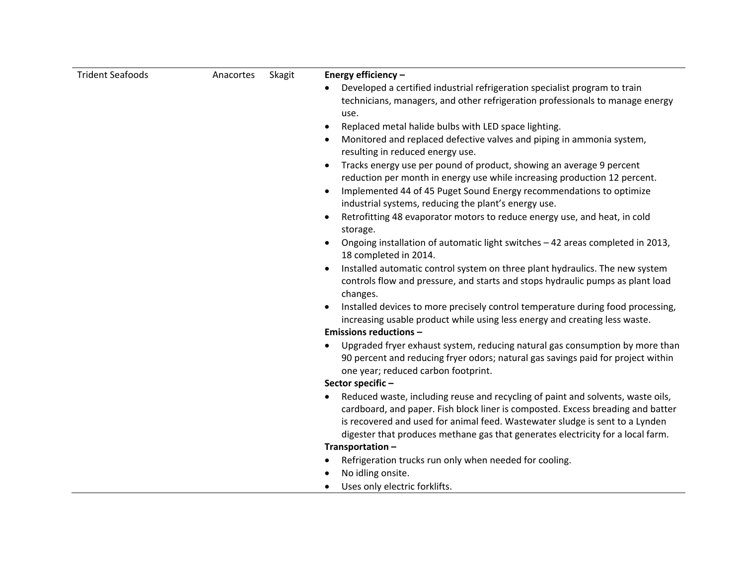| <b>Trident Seafoods</b> | Skagit<br>Anacortes | Energy efficiency -                                                                                                                                                                                                                                |
|-------------------------|---------------------|----------------------------------------------------------------------------------------------------------------------------------------------------------------------------------------------------------------------------------------------------|
|                         |                     | Developed a certified industrial refrigeration specialist program to train                                                                                                                                                                         |
|                         |                     | technicians, managers, and other refrigeration professionals to manage energy                                                                                                                                                                      |
|                         |                     | use.                                                                                                                                                                                                                                               |
|                         |                     | Replaced metal halide bulbs with LED space lighting.                                                                                                                                                                                               |
|                         |                     | Monitored and replaced defective valves and piping in ammonia system,<br>resulting in reduced energy use.                                                                                                                                          |
|                         |                     | Tracks energy use per pound of product, showing an average 9 percent<br>reduction per month in energy use while increasing production 12 percent.                                                                                                  |
|                         |                     | Implemented 44 of 45 Puget Sound Energy recommendations to optimize<br>$\bullet$<br>industrial systems, reducing the plant's energy use.                                                                                                           |
|                         |                     | Retrofitting 48 evaporator motors to reduce energy use, and heat, in cold                                                                                                                                                                          |
|                         |                     | storage.                                                                                                                                                                                                                                           |
|                         |                     | Ongoing installation of automatic light switches - 42 areas completed in 2013,<br>18 completed in 2014.                                                                                                                                            |
|                         |                     | Installed automatic control system on three plant hydraulics. The new system                                                                                                                                                                       |
|                         |                     | controls flow and pressure, and starts and stops hydraulic pumps as plant load<br>changes.                                                                                                                                                         |
|                         |                     | Installed devices to more precisely control temperature during food processing,                                                                                                                                                                    |
|                         |                     | increasing usable product while using less energy and creating less waste.                                                                                                                                                                         |
|                         |                     | <b>Emissions reductions -</b>                                                                                                                                                                                                                      |
|                         |                     | Upgraded fryer exhaust system, reducing natural gas consumption by more than<br>90 percent and reducing fryer odors; natural gas savings paid for project within<br>one year; reduced carbon footprint.                                            |
|                         |                     | Sector specific-                                                                                                                                                                                                                                   |
|                         |                     | Reduced waste, including reuse and recycling of paint and solvents, waste oils,<br>cardboard, and paper. Fish block liner is composted. Excess breading and batter<br>is recovered and used for animal feed. Wastewater sludge is sent to a Lynden |
|                         |                     | digester that produces methane gas that generates electricity for a local farm.                                                                                                                                                                    |
|                         |                     | Transportation-                                                                                                                                                                                                                                    |
|                         |                     | Refrigeration trucks run only when needed for cooling.                                                                                                                                                                                             |
|                         |                     | No idling onsite.                                                                                                                                                                                                                                  |
|                         |                     | Uses only electric forklifts.                                                                                                                                                                                                                      |